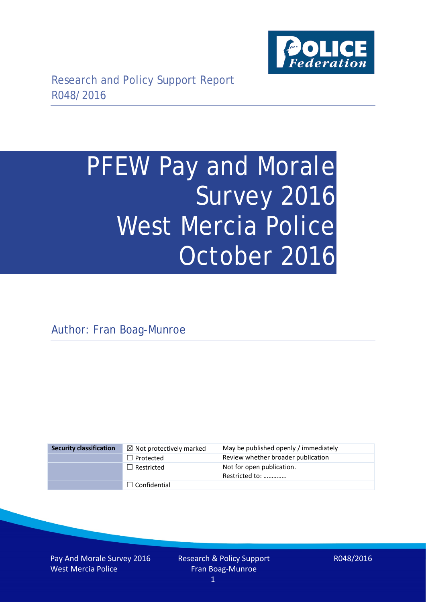

# PFEW Pay and Morale Survey 2016 West Mercia Police October 2016

Author: Fran Boag-Munroe

| <b>Security classification</b> | $\boxtimes$ Not protectively marked | May be published openly / immediately       |
|--------------------------------|-------------------------------------|---------------------------------------------|
|                                | $\Box$ Protected                    | Review whether broader publication          |
|                                | $\Box$ Restricted                   | Not for open publication.<br>Restricted to: |
|                                | $\Box$ Confidential                 |                                             |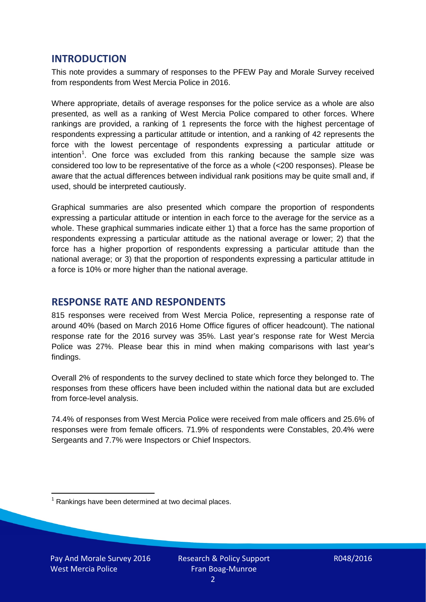## **INTRODUCTION**

This note provides a summary of responses to the PFEW Pay and Morale Survey received from respondents from West Mercia Police in 2016.

Where appropriate, details of average responses for the police service as a whole are also presented, as well as a ranking of West Mercia Police compared to other forces. Where rankings are provided, a ranking of 1 represents the force with the highest percentage of respondents expressing a particular attitude or intention, and a ranking of 42 represents the force with the lowest percentage of respondents expressing a particular attitude or intention<sup>[1](#page-1-0)</sup>. One force was excluded from this ranking because the sample size was considered too low to be representative of the force as a whole (<200 responses). Please be aware that the actual differences between individual rank positions may be quite small and, if used, should be interpreted cautiously.

Graphical summaries are also presented which compare the proportion of respondents expressing a particular attitude or intention in each force to the average for the service as a whole. These graphical summaries indicate either 1) that a force has the same proportion of respondents expressing a particular attitude as the national average or lower; 2) that the force has a higher proportion of respondents expressing a particular attitude than the national average; or 3) that the proportion of respondents expressing a particular attitude in a force is 10% or more higher than the national average.

# **RESPONSE RATE AND RESPONDENTS**

815 responses were received from West Mercia Police, representing a response rate of around 40% (based on March 2016 Home Office figures of officer headcount). The national response rate for the 2016 survey was 35%. Last year's response rate for West Mercia Police was 27%. Please bear this in mind when making comparisons with last year's findings.

Overall 2% of respondents to the survey declined to state which force they belonged to. The responses from these officers have been included within the national data but are excluded from force-level analysis.

74.4% of responses from West Mercia Police were received from male officers and 25.6% of responses were from female officers. 71.9% of respondents were Constables, 20.4% were Sergeants and 7.7% were Inspectors or Chief Inspectors.

<span id="page-1-0"></span> $1$  Rankings have been determined at two decimal places.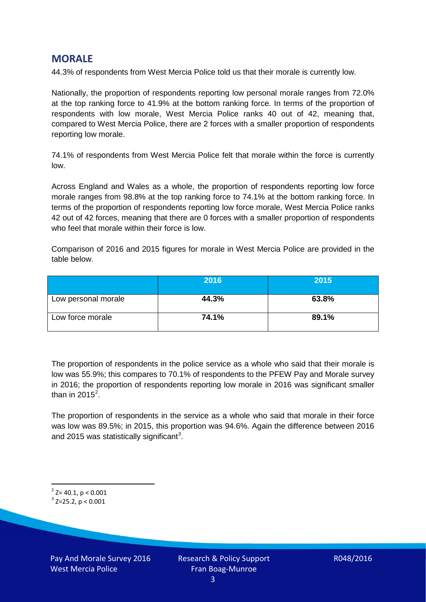## **MORALE**

44.3% of respondents from West Mercia Police told us that their morale is currently low.

Nationally, the proportion of respondents reporting low personal morale ranges from 72.0% at the top ranking force to 41.9% at the bottom ranking force. In terms of the proportion of respondents with low morale, West Mercia Police ranks 40 out of 42, meaning that, compared to West Mercia Police, there are 2 forces with a smaller proportion of respondents reporting low morale.

74.1% of respondents from West Mercia Police felt that morale within the force is currently low.

Across England and Wales as a whole, the proportion of respondents reporting low force morale ranges from 98.8% at the top ranking force to 74.1% at the bottom ranking force. In terms of the proportion of respondents reporting low force morale, West Mercia Police ranks 42 out of 42 forces, meaning that there are 0 forces with a smaller proportion of respondents who feel that morale within their force is low.

Comparison of 2016 and 2015 figures for morale in West Mercia Police are provided in the table below.

|                     | 2016  | 2015  |
|---------------------|-------|-------|
| Low personal morale | 44.3% | 63.8% |
| Low force morale    | 74.1% | 89.1% |

The proportion of respondents in the police service as a whole who said that their morale is low was 55.9%; this compares to 70.1% of respondents to the PFEW Pay and Morale survey in 2016; the proportion of respondents reporting low morale in 2016 was significant smaller than in [2](#page-2-0)015 $^2$ .

The proportion of respondents in the service as a whole who said that morale in their force was low was 89.5%; in 2015, this proportion was 94.6%. Again the difference between 2016 and 2015 was statistically significant<sup>[3](#page-2-1)</sup>.

<span id="page-2-0"></span> $2$ <sup>2</sup> Z= 40.1, p < 0.001

<span id="page-2-1"></span> $3$  Z=25.2, p < 0.001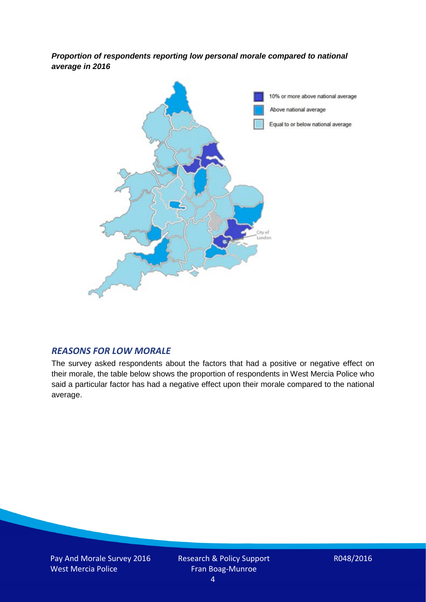*Proportion of respondents reporting low personal morale compared to national average in 2016*



## *REASONS FOR LOW MORALE*

The survey asked respondents about the factors that had a positive or negative effect on their morale, the table below shows the proportion of respondents in West Mercia Police who said a particular factor has had a negative effect upon their morale compared to the national average.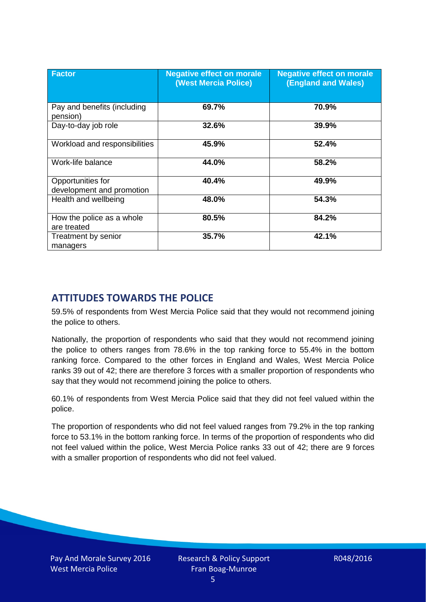| <b>Factor</b>                                  | <b>Negative effect on morale</b><br><b>(West Mercia Police)</b> | <b>Negative effect on morale</b><br><b>(England and Wales)</b> |
|------------------------------------------------|-----------------------------------------------------------------|----------------------------------------------------------------|
| Pay and benefits (including<br>pension)        | 69.7%                                                           | 70.9%                                                          |
| Day-to-day job role                            | 32.6%                                                           | 39.9%                                                          |
| Workload and responsibilities                  | 45.9%                                                           | 52.4%                                                          |
| Work-life balance                              | 44.0%                                                           | 58.2%                                                          |
| Opportunities for<br>development and promotion | 40.4%                                                           | 49.9%                                                          |
| Health and wellbeing                           | 48.0%                                                           | 54.3%                                                          |
| How the police as a whole<br>are treated       | 80.5%                                                           | 84.2%                                                          |
| Treatment by senior<br>managers                | 35.7%                                                           | 42.1%                                                          |

# **ATTITUDES TOWARDS THE POLICE**

59.5% of respondents from West Mercia Police said that they would not recommend joining the police to others.

Nationally, the proportion of respondents who said that they would not recommend joining the police to others ranges from 78.6% in the top ranking force to 55.4% in the bottom ranking force. Compared to the other forces in England and Wales, West Mercia Police ranks 39 out of 42; there are therefore 3 forces with a smaller proportion of respondents who say that they would not recommend joining the police to others.

60.1% of respondents from West Mercia Police said that they did not feel valued within the police.

The proportion of respondents who did not feel valued ranges from 79.2% in the top ranking force to 53.1% in the bottom ranking force. In terms of the proportion of respondents who did not feel valued within the police, West Mercia Police ranks 33 out of 42; there are 9 forces with a smaller proportion of respondents who did not feel valued.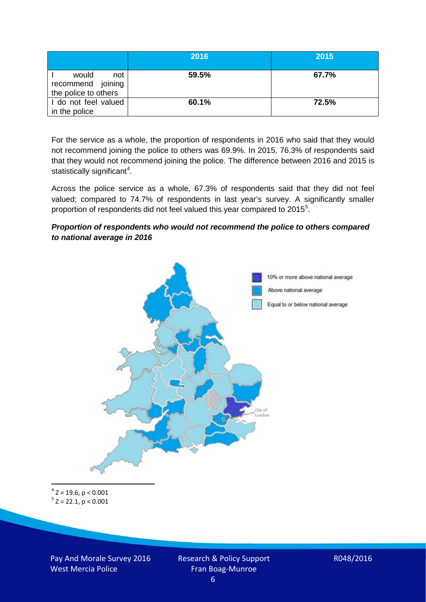|                                                           | 2016  | 2015  |
|-----------------------------------------------------------|-------|-------|
| would<br>not<br>recommend joining<br>the police to others | 59.5% | 67.7% |
| I do not feel valued<br>in the police                     | 60.1% | 72.5% |

For the service as a whole, the proportion of respondents in 2016 who said that they would not recommend joining the police to others was 69.9%. In 2015, 76.3% of respondents said that they would not recommend joining the police. The difference between 2016 and 2015 is statistically significant<sup>[4](#page-5-0)</sup>.

Across the police service as a whole, 67.3% of respondents said that they did not feel valued; compared to 74.7% of respondents in last year's survey. A significantly smaller proportion of respondents did not feel valued this year compared to 201[5](#page-5-1)<sup>5</sup>.

#### *Proportion of respondents who would not recommend the police to others compared to national average in 2016*



<span id="page-5-1"></span><span id="page-5-0"></span> $4$  Z = 19.6, p < 0.001  $5$  Z = 22.1, p < 0.001

Pay And Morale Survey 2016 West Mercia Police

Research & Policy Support Fran Boag-Munroe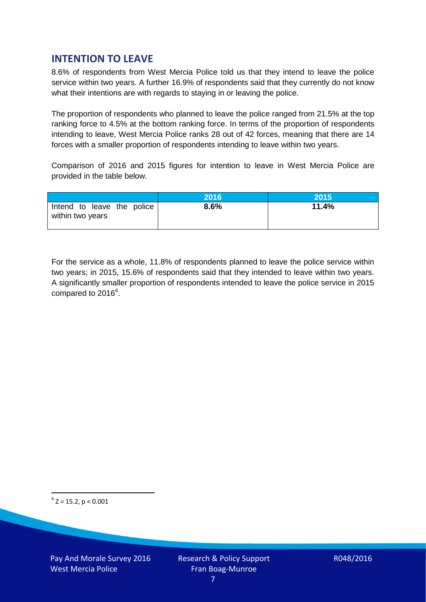# **INTENTION TO LEAVE**

8.6% of respondents from West Mercia Police told us that they intend to leave the police service within two years. A further 16.9% of respondents said that they currently do not know what their intentions are with regards to staying in or leaving the police.

The proportion of respondents who planned to leave the police ranged from 21.5% at the top ranking force to 4.5% at the bottom ranking force. In terms of the proportion of respondents intending to leave, West Mercia Police ranks 28 out of 42 forces, meaning that there are 14 forces with a smaller proportion of respondents intending to leave within two years.

Comparison of 2016 and 2015 figures for intention to leave in West Mercia Police are provided in the table below.

|                                                | 2016 | 2015  |
|------------------------------------------------|------|-------|
| Intend to leave the police<br>within two years | 8.6% | 11.4% |

For the service as a whole, 11.8% of respondents planned to leave the police service within two years; in 2015, 15.6% of respondents said that they intended to leave within two years. A significantly smaller proportion of respondents intended to leave the police service in 2015 compared to 201[6](#page-6-0)<sup>6</sup>.

<span id="page-6-0"></span> $6$  Z = 15.2, p < 0.001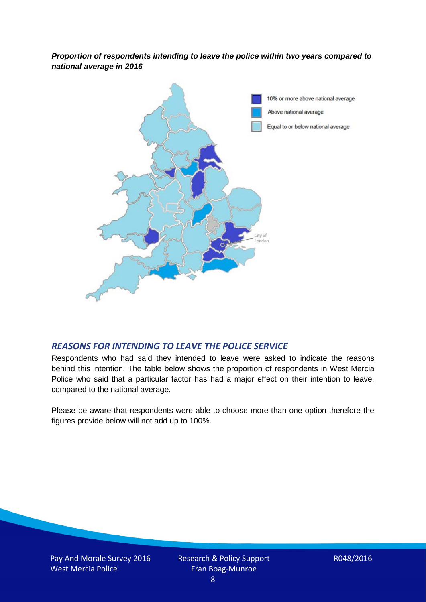*Proportion of respondents intending to leave the police within two years compared to national average in 2016*



## *REASONS FOR INTENDING TO LEAVE THE POLICE SERVICE*

Respondents who had said they intended to leave were asked to indicate the reasons behind this intention. The table below shows the proportion of respondents in West Mercia Police who said that a particular factor has had a major effect on their intention to leave, compared to the national average.

Please be aware that respondents were able to choose more than one option therefore the figures provide below will not add up to 100%.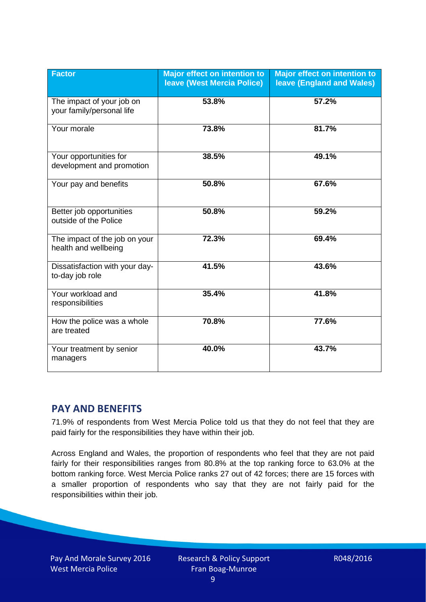| <b>Factor</b>                                          | <b>Major effect on intention to</b><br><b>leave (West Mercia Police)</b> | <b>Major effect on intention to</b><br><b>leave (England and Wales)</b> |
|--------------------------------------------------------|--------------------------------------------------------------------------|-------------------------------------------------------------------------|
| The impact of your job on<br>your family/personal life | 53.8%                                                                    | 57.2%                                                                   |
| Your morale                                            | 73.8%                                                                    | 81.7%                                                                   |
| Your opportunities for<br>development and promotion    | 38.5%                                                                    | 49.1%                                                                   |
| Your pay and benefits                                  | 50.8%                                                                    | 67.6%                                                                   |
| Better job opportunities<br>outside of the Police      | 50.8%                                                                    | 59.2%                                                                   |
| The impact of the job on your<br>health and wellbeing  | 72.3%                                                                    | 69.4%                                                                   |
| Dissatisfaction with your day-<br>to-day job role      | 41.5%                                                                    | 43.6%                                                                   |
| Your workload and<br>responsibilities                  | 35.4%                                                                    | 41.8%                                                                   |
| How the police was a whole<br>are treated              | 70.8%                                                                    | 77.6%                                                                   |
| Your treatment by senior<br>managers                   | 40.0%                                                                    | 43.7%                                                                   |

# **PAY AND BENEFITS**

71.9% of respondents from West Mercia Police told us that they do not feel that they are paid fairly for the responsibilities they have within their job.

Across England and Wales, the proportion of respondents who feel that they are not paid fairly for their responsibilities ranges from 80.8% at the top ranking force to 63.0% at the bottom ranking force. West Mercia Police ranks 27 out of 42 forces; there are 15 forces with a smaller proportion of respondents who say that they are not fairly paid for the responsibilities within their job.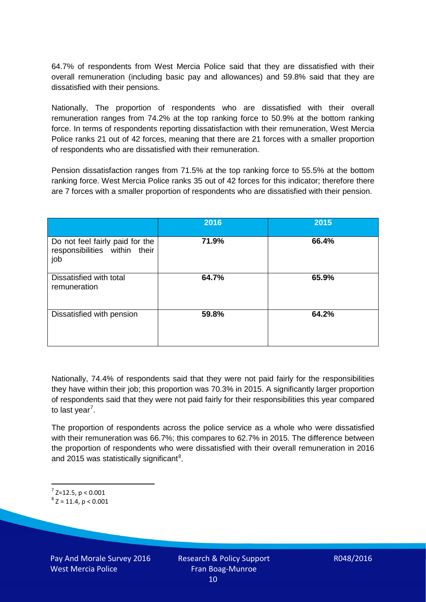64.7% of respondents from West Mercia Police said that they are dissatisfied with their overall remuneration (including basic pay and allowances) and 59.8% said that they are dissatisfied with their pensions.

Nationally, The proportion of respondents who are dissatisfied with their overall remuneration ranges from 74.2% at the top ranking force to 50.9% at the bottom ranking force. In terms of respondents reporting dissatisfaction with their remuneration, West Mercia Police ranks 21 out of 42 forces, meaning that there are 21 forces with a smaller proportion of respondents who are dissatisfied with their remuneration.

Pension dissatisfaction ranges from 71.5% at the top ranking force to 55.5% at the bottom ranking force. West Mercia Police ranks 35 out of 42 forces for this indicator; therefore there are 7 forces with a smaller proportion of respondents who are dissatisfied with their pension.

|                                                                         | 2016  | 2015  |
|-------------------------------------------------------------------------|-------|-------|
| Do not feel fairly paid for the<br>responsibilities within their<br>job | 71.9% | 66.4% |
| Dissatisfied with total<br>remuneration                                 | 64.7% | 65.9% |
| Dissatisfied with pension                                               | 59.8% | 64.2% |

Nationally, 74.4% of respondents said that they were not paid fairly for the responsibilities they have within their job; this proportion was 70.3% in 2015. A significantly larger proportion of respondents said that they were not paid fairly for their responsibilities this year compared to last year<sup>[7](#page-9-0)</sup>.

The proportion of respondents across the police service as a whole who were dissatisfied with their remuneration was 66.7%; this compares to 62.7% in 2015. The difference between the proportion of respondents who were dissatisfied with their overall remuneration in 2016 and 2015 was statistically significant<sup>[8](#page-9-1)</sup>.

<span id="page-9-0"></span> $7$  Z=12.5, p < 0.001

<span id="page-9-1"></span> $8$  Z = 11.4, p < 0.001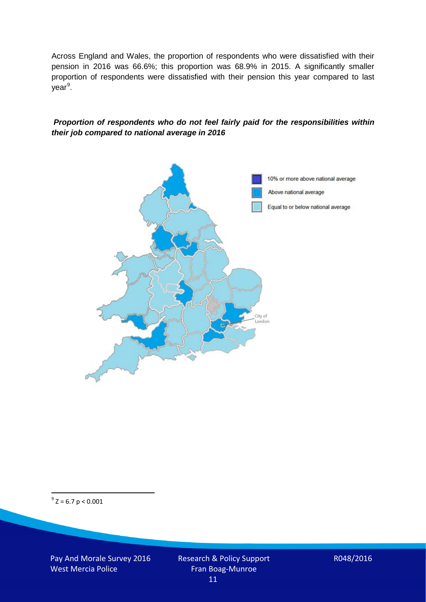Across England and Wales, the proportion of respondents who were dissatisfied with their pension in 2016 was 66.6%; this proportion was 68.9% in 2015. A significantly smaller proportion of respondents were dissatisfied with their pension this year compared to last year<sup>[9](#page-10-0)</sup>.

#### *Proportion of respondents who do not feel fairly paid for the responsibilities within their job compared to national average in 2016*



<span id="page-10-0"></span> $9^9$  Z = 6.7 p < 0.001